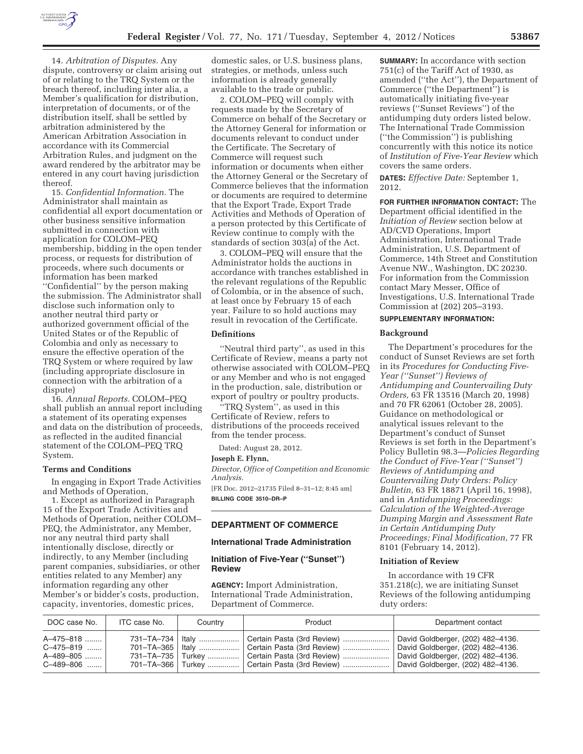

14. *Arbitration of Disputes.* Any dispute, controversy or claim arising out of or relating to the TRQ System or the breach thereof, including inter alia, a Member's qualification for distribution, interpretation of documents, or of the distribution itself, shall be settled by arbitration administered by the American Arbitration Association in accordance with its Commercial Arbitration Rules, and judgment on the award rendered by the arbitrator may be entered in any court having jurisdiction thereof.

15. *Confidential Information.* The Administrator shall maintain as confidential all export documentation or other business sensitive information submitted in connection with application for COLOM–PEQ membership, bidding in the open tender process, or requests for distribution of proceeds, where such documents or information has been marked ''Confidential'' by the person making the submission. The Administrator shall disclose such information only to another neutral third party or authorized government official of the United States or of the Republic of Colombia and only as necessary to ensure the effective operation of the TRQ System or where required by law (including appropriate disclosure in connection with the arbitration of a dispute)

16. *Annual Reports.* COLOM–PEQ shall publish an annual report including a statement of its operating expenses and data on the distribution of proceeds, as reflected in the audited financial statement of the COLOM–PEQ TRQ System.

#### **Terms and Conditions**

In engaging in Export Trade Activities and Methods of Operation,

1. Except as authorized in Paragraph 15 of the Export Trade Activities and Methods of Operation, neither COLOM– PEQ, the Administrator, any Member, nor any neutral third party shall intentionally disclose, directly or indirectly, to any Member (including parent companies, subsidiaries, or other entities related to any Member) any information regarding any other Member's or bidder's costs, production, capacity, inventories, domestic prices,

domestic sales, or U.S. business plans, strategies, or methods, unless such information is already generally available to the trade or public.

2. COLOM–PEQ will comply with requests made by the Secretary of Commerce on behalf of the Secretary or the Attorney General for information or documents relevant to conduct under the Certificate. The Secretary of Commerce will request such information or documents when either the Attorney General or the Secretary of Commerce believes that the information or documents are required to determine that the Export Trade, Export Trade Activities and Methods of Operation of a person protected by this Certificate of Review continue to comply with the standards of section 303(a) of the Act.

3. COLOM–PEQ will ensure that the Administrator holds the auctions in accordance with tranches established in the relevant regulations of the Republic of Colombia, or in the absence of such, at least once by February 15 of each year. Failure to so hold auctions may result in revocation of the Certificate.

## **Definitions**

''Neutral third party'', as used in this Certificate of Review, means a party not otherwise associated with COLOM–PEQ or any Member and who is not engaged in the production, sale, distribution or export of poultry or poultry products.

''TRQ System'', as used in this Certificate of Review, refers to distributions of the proceeds received from the tender process.

Dated: August 28, 2012.

#### **Joseph E. Flynn,**

*Director, Office of Competition and Economic Analysis.* 

[FR Doc. 2012–21735 Filed 8–31–12; 8:45 am] **BILLING CODE 3510–DR–P** 

## **DEPARTMENT OF COMMERCE**

## **International Trade Administration**

**Initiation of Five-Year (''Sunset'') Review** 

**AGENCY:** Import Administration, International Trade Administration, Department of Commerce.

**SUMMARY:** In accordance with section 751(c) of the Tariff Act of 1930, as amended (''the Act''), the Department of Commerce (''the Department'') is automatically initiating five-year reviews (''Sunset Reviews'') of the antidumping duty orders listed below. The International Trade Commission (''the Commission'') is publishing concurrently with this notice its notice of *Institution of Five-Year Review* which covers the same orders.

**DATES:** *Effective Date:* September 1, 2012.

**FOR FURTHER INFORMATION CONTACT:** The Department official identified in the *Initiation of Review* section below at AD/CVD Operations, Import Administration, International Trade Administration, U.S. Department of Commerce, 14th Street and Constitution Avenue NW., Washington, DC 20230. For information from the Commission contact Mary Messer, Office of Investigations, U.S. International Trade Commission at (202) 205–3193.

## **SUPPLEMENTARY INFORMATION:**

#### **Background**

The Department's procedures for the conduct of Sunset Reviews are set forth in its *Procedures for Conducting Five-Year (''Sunset'') Reviews of Antidumping and Countervailing Duty Orders,* 63 FR 13516 (March 20, 1998) and 70 FR 62061 (October 28, 2005). Guidance on methodological or analytical issues relevant to the Department's conduct of Sunset Reviews is set forth in the Department's Policy Bulletin 98.3—*Policies Regarding the Conduct of Five-Year (''Sunset'') Reviews of Antidumping and Countervailing Duty Orders: Policy Bulletin,* 63 FR 18871 (April 16, 1998), and in *Antidumping Proceedings: Calculation of the Weighted-Average Dumping Margin and Assessment Rate in Certain Antidumping Duty Proceedings; Final Modification,* 77 FR 8101 (February 14, 2012).

# **Initiation of Review**

In accordance with 19 CFR 351.218(c), we are initiating Sunset Reviews of the following antidumping duty orders:

| DOC case No.                                       | ITC case No. | Country | Product                                                                                                                                                                                                        | Department contact                                                                                                                               |
|----------------------------------------------------|--------------|---------|----------------------------------------------------------------------------------------------------------------------------------------------------------------------------------------------------------------|--------------------------------------------------------------------------------------------------------------------------------------------------|
| A-475-818<br>C-475-819<br>A-489-805<br>$C-489-806$ |              |         | 731–TA–734   Italy    Certain Pasta (3rd Review)<br>701–TA–365   Italy    Certain Pasta (3rd Review)<br>731–TA–735   Turkey    Certain Pasta (3rd Review)<br>701–TA–366   Turkey    Certain Pasta (3rd Review) | David Goldberger, (202) 482-4136.<br>David Goldberger, (202) 482-4136.<br>David Goldberger, (202) 482-4136.<br>David Goldberger, (202) 482-4136. |